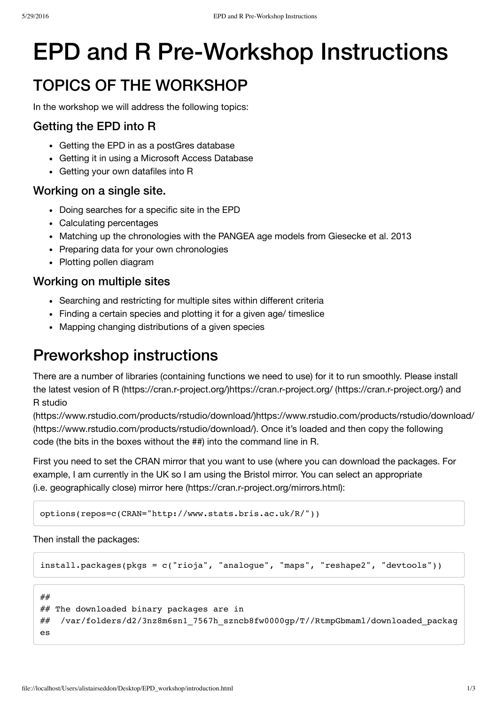# EPD and R Pre-Workshop Instructions

## TOPICS OF THE WORKSHOP

In the workshop we will address the following topics:

### Getting the EPD into R

- Getting the EPD in as a postGres database
- Getting it in using a Microsoft Access Database
- Getting your own datafiles into R

### Working on a single site.

- Doing searches for a specific site in the EPD
- Calculating percentages
- Matching up the chronologies with the PANGEA age models from Giesecke et al. 2013
- Preparing data for your own chronologies
- Plotting pollen diagram

### Working on multiple sites

- Searching and restricting for multiple sites within different criteria
- Finding a certain species and plotting it for a given age/ timeslice
- Mapping changing distributions of a given species

### Preworkshop instructions

There are a number of libraries (containing functions we need to use) for it to run smoothly. Please install the latest vesion of R (https://cran.r-project.org/)https://cran.r-project.org/ (https://cran.r-project.org/) and R studio

(https://www.rstudio.com/products/rstudio/download/)https://www.rstudio.com/products/rstudio/download/ (https://www.rstudio.com/products/rstudio/download/). Once it's loaded and then copy the following code (the bits in the boxes without the ##) into the command line in R.

First you need to set the CRAN mirror that you want to use (where you can download the packages. For example, I am currently in the UK so I am using the Bristol mirror. You can select an appropriate (i.e. geographically close) mirror here (https://cran.r-project.org/mirrors.html):

```
options(repos=c(CRAN="http://www.stats.bris.ac.uk/R/"))
```
Then install the packages:

```
install.packages(pkgs = c("rioja", "analogue", "maps", "reshape2", "devtools"))
```

```
##
## The downloaded binary packages are in
## /var/folders/d2/3nz8m6sn1_7567h_szncb8fw0000gp/T//RtmpGbmaml/downloaded_packag
es
```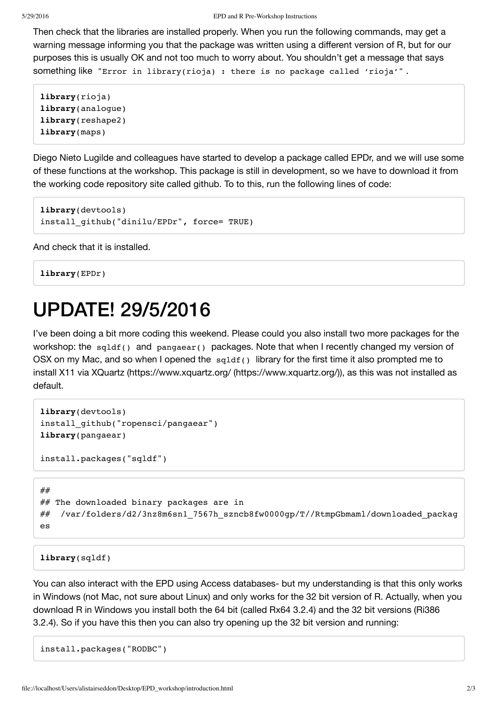Then check that the libraries are installed properly. When you run the following commands, may get a warning message informing you that the package was written using a different version of R, but for our purposes this is usually OK and not too much to worry about. You shouldn't get a message that says something like "Error in library(rioja) : there is no package called 'rioja'".

```
library(rioja)
library(analogue)
library(reshape2)
library(maps)
```
Diego Nieto Lugilde and colleagues have started to develop a package called EPDr, and we will use some of these functions at the workshop. This package is still in development, so we have to download it from the working code repository site called github. To to this, run the following lines of code:

```
library(devtools)
install_github("dinilu/EPDr", force= TRUE)
```
And check that it is installed.

**library**(EPDr)

# UPDATE! 29/5/2016

I've been doing a bit more coding this weekend. Please could you also install two more packages for the workshop: the sqldf() and pangaear() packages. Note that when I recently changed my version of OSX on my Mac, and so when I opened the  $sqldf()$  library for the first time it also prompted me to install X11 via XQuartz (https://www.xquartz.org/ (https://www.xquartz.org/)), as this was not installed as default.

```
library(devtools)
install_github("ropensci/pangaear")
library(pangaear)
```

```
install.packages("sqldf")
```

```
##
## The downloaded binary packages are in
## /var/folders/d2/3nz8m6sn1_7567h_szncb8fw0000gp/T//RtmpGbmaml/downloaded_packag
es
```
#### **library**(sqldf)

You can also interact with the EPD using Access databases- but my understanding is that this only works in Windows (not Mac, not sure about Linux) and only works for the 32 bit version of R. Actually, when you download R in Windows you install both the 64 bit (called Rx64 3.2.4) and the 32 bit versions (Ri386 3.2.4). So if you have this then you can also try opening up the 32 bit version and running:

install.packages("RODBC")